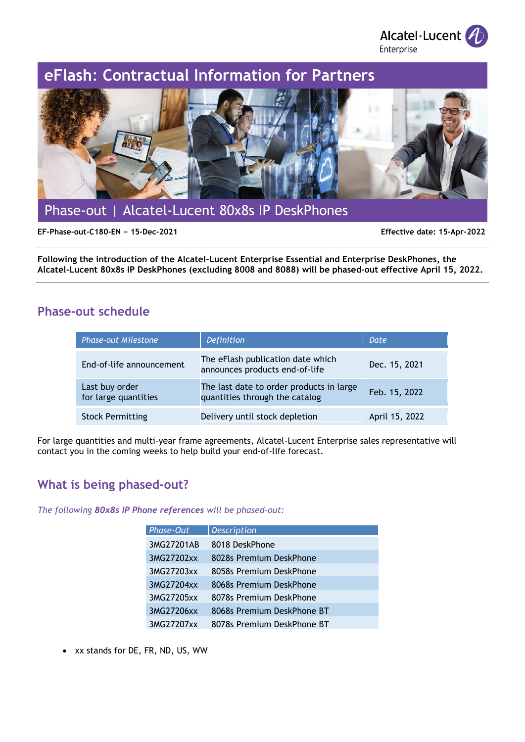Alcatel·Lucent *A* Enterprise

# **eFlash**: **Contractual Information for Partners**



Phase-out | Alcatel-Lucent 80x8s IP DeskPhones

**EF-Phase-out-C180-EN − 15-Dec-2021 Effective date: 15-Apr-2022**

**Following the introduction of the Alcatel-Lucent Enterprise Essential and Enterprise DeskPhones, the Alcatel-Lucent 80x8s IP DeskPhones (excluding 8008 and 8088) will be phased-out effective April 15, 2022.**

## **Phase-out schedule**

| <b>Phase-out Milestone</b>             | Definition                                                                 | Date           |
|----------------------------------------|----------------------------------------------------------------------------|----------------|
| End-of-life announcement               | The eFlash publication date which<br>announces products end-of-life        | Dec. 15, 2021  |
| Last buy order<br>for large quantities | The last date to order products in large<br>quantities through the catalog | Feb. 15, 2022  |
| <b>Stock Permitting</b>                | Delivery until stock depletion                                             | April 15, 2022 |

For large quantities and multi-year frame agreements, Alcatel-Lucent Enterprise sales representative will contact you in the coming weeks to help build your end-of-life forecast.

## **What is being phased-out?**

*The following 80x8s IP Phone references will be phased-out:* 

| Phase-Out  | <b>Description</b>         |
|------------|----------------------------|
| 3MG27201AB | 8018 DeskPhone             |
| 3MG27202xx | 8028s Premium DeskPhone    |
| 3MG27203xx | 8058s Premium DeskPhone    |
| 3MG27204xx | 8068s Premium DeskPhone    |
| 3MG27205xx | 8078s Premium DeskPhone    |
| 3MG27206xx | 8068s Premium DeskPhone BT |
| 3MG27207xx | 8078s Premium DeskPhone BT |

• xx stands for DE, FR, ND, US, WW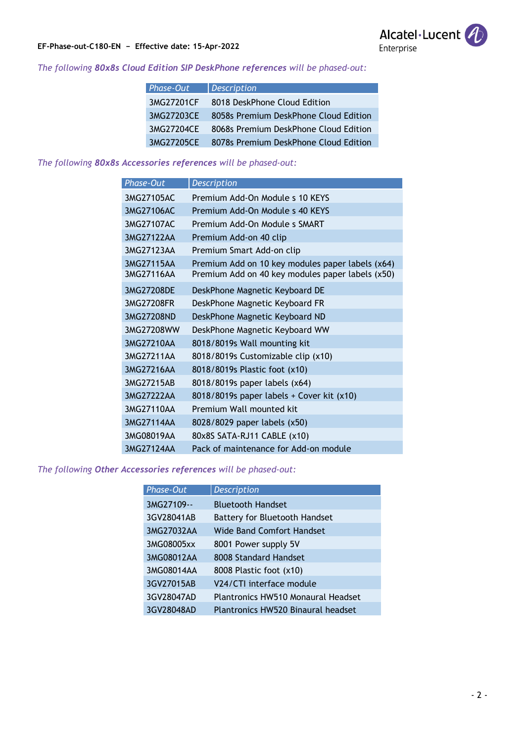

#### **EF-Phase-out-C180-EN − Effective date: 15-Apr-2022**

#### *The following 80x8s Cloud Edition SIP DeskPhone references will be phased-out:*

| Phase-Out  | <b>Description</b>                    |
|------------|---------------------------------------|
| 3MG27201CF | 8018 DeskPhone Cloud Edition          |
| 3MG27203CE | 8058s Premium DeskPhone Cloud Edition |
| 3MG27204CE | 8068s Premium DeskPhone Cloud Edition |
| 3MG27205CE | 8078s Premium DeskPhone Cloud Edition |

#### *The following 80x8s Accessories references will be phased-out:*

| Phase-Out                | <b>Description</b>                                                                                   |
|--------------------------|------------------------------------------------------------------------------------------------------|
| 3MG27105AC               | Premium Add-On Module s 10 KEYS                                                                      |
| 3MG27106AC               | Premium Add-On Module s 40 KEYS                                                                      |
| 3MG27107AC               | Premium Add-On Module s SMART                                                                        |
| 3MG27122AA               | Premium Add-on 40 clip                                                                               |
| 3MG27123AA               | Premium Smart Add-on clip                                                                            |
| 3MG27115AA<br>3MG27116AA | Premium Add on 10 key modules paper labels (x64)<br>Premium Add on 40 key modules paper labels (x50) |
| 3MG27208DE               | DeskPhone Magnetic Keyboard DE                                                                       |
| 3MG27208FR               | DeskPhone Magnetic Keyboard FR                                                                       |
| 3MG27208ND               | DeskPhone Magnetic Keyboard ND                                                                       |
| 3MG27208WW               | DeskPhone Magnetic Keyboard WW                                                                       |
| 3MG27210AA               | 8018/8019s Wall mounting kit                                                                         |
| 3MG27211AA               | 8018/8019s Customizable clip (x10)                                                                   |
| 3MG27216AA               | 8018/8019s Plastic foot (x10)                                                                        |
| 3MG27215AB               | 8018/8019s paper labels (x64)                                                                        |
| 3MG27222AA               | 8018/8019s paper labels + Cover kit (x10)                                                            |
| 3MG27110AA               | Premium Wall mounted kit                                                                             |
| 3MG27114AA               | 8028/8029 paper labels (x50)                                                                         |
| 3MG08019AA               | 80x8S SATA-RJ11 CABLE (x10)                                                                          |
| 3MG27124AA               | Pack of maintenance for Add-on module                                                                |

#### *The following Other Accessories references will be phased-out:*

| Phase-Out  | <b>Description</b>                        |
|------------|-------------------------------------------|
| 3MG27109-- | <b>Bluetooth Handset</b>                  |
| 3GV28041AB | Battery for Bluetooth Handset             |
| 3MG27032AA | Wide Band Comfort Handset                 |
| 3MG08005xx | 8001 Power supply 5V                      |
| 3MG08012AA | 8008 Standard Handset                     |
| 3MG08014AA | 8008 Plastic foot (x10)                   |
| 3GV27015AB | V24/CTI interface module                  |
| 3GV28047AD | <b>Plantronics HW510 Monaural Headset</b> |
| 3GV28048AD | <b>Plantronics HW520 Binaural headset</b> |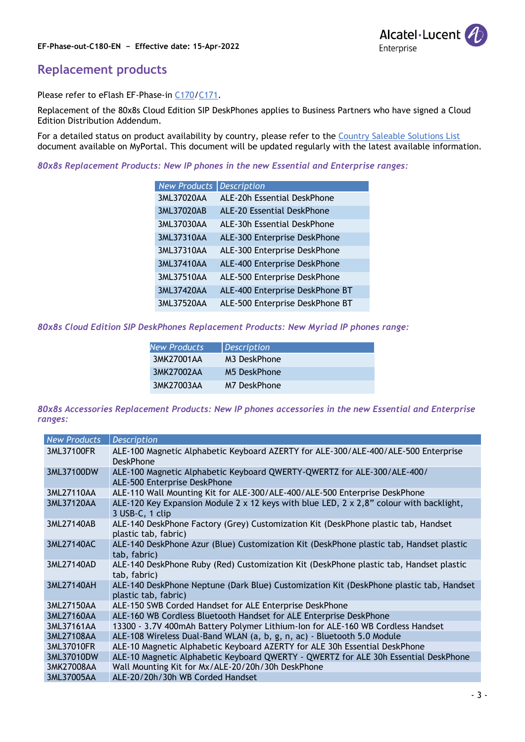



### **Replacement products**

Please refer to eFlash EF-Phase-in [C170](https://images.conversation.al-enterprise.com/Web/AlcatelLucent/%7Bf5ee4064-3509-4b7c-80c1-9822a0369301%7D_phase-in-OpenTouchSuiteMLE_H2_2021_Preview-EF-C170-EN-Final.pdf?utm_campaign=2021_Q3_WW_ExcEmbargo_NET_LOY_NLT_EML_BPNEWS_EF_Phase-in_C170&utm_medium=email&utm_source=Eloqua)[/C171.](https://images.conversation.al-enterprise.com/Web/AlcatelLucent/%7B2ae9041c-ce71-44e2-aea0-1b8588a64605%7D_phase-in-OpenTouchSuiteSMB_H2_2021_Preview-EF-C171-EN-Final.pdf?utm_campaign=2021_Q3_WW_ExcEmbargo_NET_LOY_NLT_EML_BPNEWS_EF_Phase-in_C171&utm_medium=email&utm_source=Eloqua)

Replacement of the 80x8s Cloud Edition SIP DeskPhones applies to Business Partners who have signed a Cloud Edition Distribution Addendum.

For a detailed status on product availability by country, please refer to the [Country Saleable Solutions List](https://myportal.al-enterprise.com/a4F5I000000YNkaUAG) document available on MyPortal. This document will be updated regularly with the latest available information.

*80x8s Replacement Products: New IP phones in the new Essential and Enterprise ranges:*

| <b>New Products</b> | <b>Description</b>              |
|---------------------|---------------------------------|
| 3ML37020AA          | ALE-20h Essential DeskPhone     |
| 3ML37020AB          | ALE-20 Essential DeskPhone      |
| 3ML37030AA          | ALE-30h Essential DeskPhone     |
| 3ML37310AA          | ALE-300 Enterprise DeskPhone    |
| 3ML37310AA          | ALE-300 Enterprise DeskPhone    |
| 3ML37410AA          | ALE-400 Enterprise DeskPhone    |
| 3ML37510AA          | ALE-500 Enterprise DeskPhone    |
| 3ML37420AA          | ALE-400 Enterprise DeskPhone BT |
| 3ML37520AA          | ALE-500 Enterprise DeskPhone BT |

*80x8s Cloud Edition SIP DeskPhones Replacement Products: New Myriad IP phones range:*

| <b>New Products</b> | Description              |
|---------------------|--------------------------|
| 3MK27001AA          | M <sub>3</sub> DeskPhone |
| 3MK27002AA          | M5 DeskPhone             |
| 3MK27003AA          | M7 DeskPhone             |

*80x8s Accessories Replacement Products: New IP phones accessories in the new Essential and Enterprise ranges:*

| <b>New Products</b> | <b>Description</b>                                                                                                 |
|---------------------|--------------------------------------------------------------------------------------------------------------------|
| 3ML37100FR          | ALE-100 Magnetic Alphabetic Keyboard AZERTY for ALE-300/ALE-400/ALE-500 Enterprise<br><b>DeskPhone</b>             |
| 3ML37100DW          | ALE-100 Magnetic Alphabetic Keyboard QWERTY-QWERTZ for ALE-300/ALE-400/<br>ALE-500 Enterprise DeskPhone            |
| 3ML27110AA          | ALE-110 Wall Mounting Kit for ALE-300/ALE-400/ALE-500 Enterprise DeskPhone                                         |
| 3ML37120AA          | ALE-120 Key Expansion Module 2 x 12 keys with blue LED, $2 \times 2.8$ " colour with backlight,<br>3 USB-C, 1 clip |
| 3ML27140AB          | ALE-140 DeskPhone Factory (Grey) Customization Kit (DeskPhone plastic tab, Handset<br>plastic tab, fabric)         |
| 3ML27140AC          | ALE-140 DeskPhone Azur (Blue) Customization Kit (DeskPhone plastic tab, Handset plastic<br>tab, fabric)            |
| 3ML27140AD          | ALE-140 DeskPhone Ruby (Red) Customization Kit (DeskPhone plastic tab, Handset plastic<br>tab, fabric)             |
| 3ML27140AH          | ALE-140 DeskPhone Neptune (Dark Blue) Customization Kit (DeskPhone plastic tab, Handset<br>plastic tab, fabric)    |
| 3ML27150AA          | ALE-150 SWB Corded Handset for ALE Enterprise DeskPhone                                                            |
| 3ML27160AA          | ALE-160 WB Cordless Bluetooth Handset for ALE Enterprise DeskPhone                                                 |
| 3ML37161AA          | 13300 - 3.7V 400mAh Battery Polymer Lithium-Ion for ALE-160 WB Cordless Handset                                    |
| 3ML27108AA          | ALE-108 Wireless Dual-Band WLAN (a, b, g, n, ac) - Bluetooth 5.0 Module                                            |
| 3ML37010FR          | ALE-10 Magnetic Alphabetic Keyboard AZERTY for ALE 30h Essential DeskPhone                                         |
| 3ML37010DW          | ALE-10 Magnetic Alphabetic Keyboard QWERTY - QWERTZ for ALE 30h Essential DeskPhone                                |
| 3MK27008AA          | Wall Mounting Kit for Mx/ALE-20/20h/30h DeskPhone                                                                  |
| 3ML37005AA          | ALE-20/20h/30h WB Corded Handset                                                                                   |